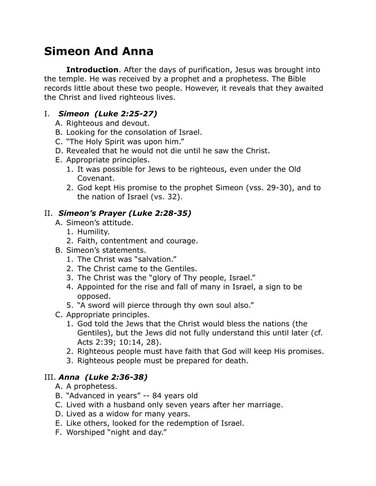# **Simeon And Anna**

**Introduction**. After the days of purification, Jesus was brought into the temple. He was received by a prophet and a prophetess. The Bible records little about these two people. However, it reveals that they awaited the Christ and lived righteous lives.

#### I. *Simeon (Luke 2:25-27)*

- A. Righteous and devout.
- B. Looking for the consolation of Israel.
- C. "The Holy Spirit was upon him."
- D. Revealed that he would not die until he saw the Christ.
- E. Appropriate principles.
	- 1. It was possible for Jews to be righteous, even under the Old Covenant.
	- 2. God kept His promise to the prophet Simeon (vss. 29-30), and to the nation of Israel (vs. 32).

### II. *Simeon's Prayer (Luke 2:28-35)*

- A. Simeon's attitude.
	- 1. Humility.
	- 2. Faith, contentment and courage.
- B. Simeon's statements.
	- 1. The Christ was "salvation."
	- 2. The Christ came to the Gentiles.
	- 3. The Christ was the "glory of Thy people, Israel."
	- 4. Appointed for the rise and fall of many in Israel, a sign to be opposed.
	- 5. "A sword will pierce through thy own soul also."
- C. Appropriate principles.
	- 1. God told the Jews that the Christ would bless the nations (the Gentiles), but the Jews did not fully understand this until later (cf. Acts 2:39; 10:14, 28).
	- 2. Righteous people must have faith that God will keep His promises.
	- 3. Righteous people must be prepared for death.

## III. *Anna (Luke 2:36-38)*

- A. A prophetess.
- B. "Advanced in years" -- 84 years old
- C. Lived with a husband only seven years after her marriage.
- D. Lived as a widow for many years.
- E. Like others, looked for the redemption of Israel.
- F. Worshiped "night and day."